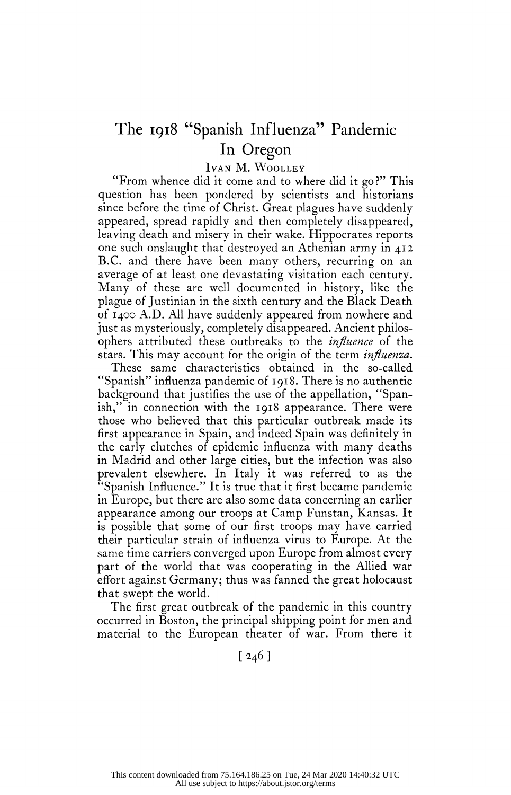## The 1918 "Spanish Influenza" Pandemic In Oregon

## IVAN M. WOOLLEY

 "From whence did it come and to where did it go?" This question has been pondered by scientists and historians since before the time of Christ. Great plagues have suddenly appeared, spread rapidly and then completely disappeared, leaving death and misery in their wake. Hippocrates reports one such onslaught that destroyed an Athenian army in 412 B.C. and there have been many others, recurring on an average of at least one devastating visitation each century. Many of these are well documented in history, like the plague of Justinian in the sixth century and the Black Death of 1400 A.D. All have suddenly appeared from nowhere and just as mysteriously, completely disappeared. Ancient philosophers attributed these outbreaks to the *influence* of the stars. This may account for the origin of the term *influenza*.

 These same characteristics obtained in the so-called "Spanish" influenza pandemic of I9I8. There is no authentic background that justifies the use of the appellation, "Span ish," in connection with the I9I8 appearance. There were those who believed that this particular outbreak made its first appearance in Spain, and indeed Spain was definitely in the early clutches of epidemic influenza with many deaths in Madrid and other large cities, but the infection was also prevalent elsewhere. In Italy it was referred to as the "Spanish Influence." It is true that it first became pandemic in Europe, but there are also some data concerning an earlier appearance among our troops at Camp Funstan, Kansas. It is possible that some of our first troops may have carried their particular strain of influenza virus to Europe. At the same time carriers converged upon Europe from almost every part of the world that was cooperating in the Allied war effort against Germany; thus was fanned the great holocaust that swept the world.

 The first great outbreak of the pandemic in this country occurred in Boston, the principal shipping point for men and material to the European theater of war. From there it

 $\lceil 246 \rceil$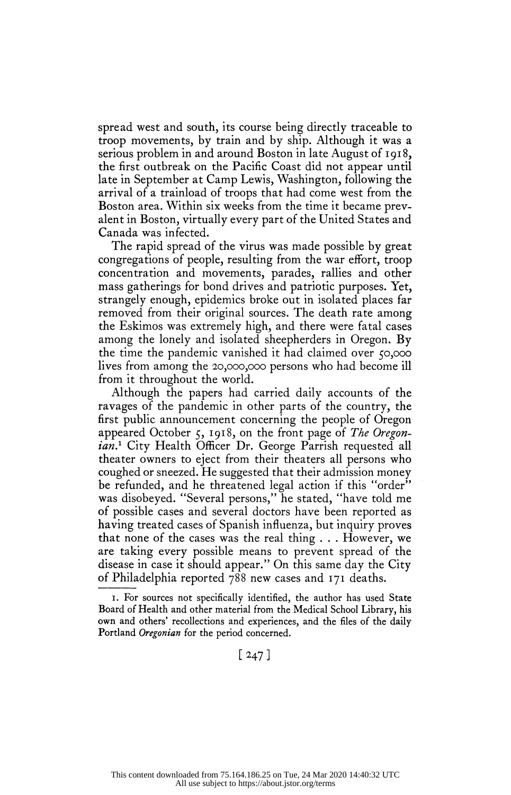spread west and south, its course being directly traceable to troop movements, by train and by ship. Although it was a serious problem in and around Boston in late August of 1918. the first outbreak on the Pacific Coast did not appear until late in September at Camp Lewis, Washington, following the arrival of a trainload of troops that had come west from the Boston area. Within six weeks from the time it became prev alent in Boston, virtually every part of the United States and Canada was infected.

 The rapid spread of the virus was made possible by great congregations of people, resulting from the war effort, troop concentration and movements, parades, rallies and other mass gatherings for bond drives and patriotic purposes. Yet, strangely enough, epidemics broke out in isolated places far removed from their original sources. The death rate among the Eskimos was extremely high, and there were fatal cases among the lonely and isolated sheepherders in Oregon. By the time the pandemic vanished it had claimed over 5o,ooo lives from among the 20,000,000 persons who had become ill from it throughout the world.

 Although the papers had carried daily accounts of the ravages of the pandemic in other parts of the country, the first public announcement concerning the people of Oregon appeared October  $\zeta$ , 1918, on the front page of The Oregonian.<sup>1</sup> City Health Officer Dr. George Parrish requested all theater owners to eject from their theaters all persons who coughed or sneezed. He suggested that their admission money be refunded, and he threatened legal action if this "order" was disobeyed. "Several persons," he stated, "have told me of possible cases and several doctors have been reported as having treated cases of Spanish influenza, but inquiry proves that none of the cases was the real thing . . . However, we are taking every possible means to prevent spread of the disease in case it should appear." On this same day the City of Philadelphia reported 788 new cases and I7I deaths.

[247]

I. For sources not specifically identified, the author has used State Board of Health and other material from the Medical School Library, his  $\mathbf{B}$  of Health and other material from the Medical School Library, his  $\mathbf{B}$ own and others' reconcertois and experiences, and the files of the daily Portland Oregonian for the period concerned.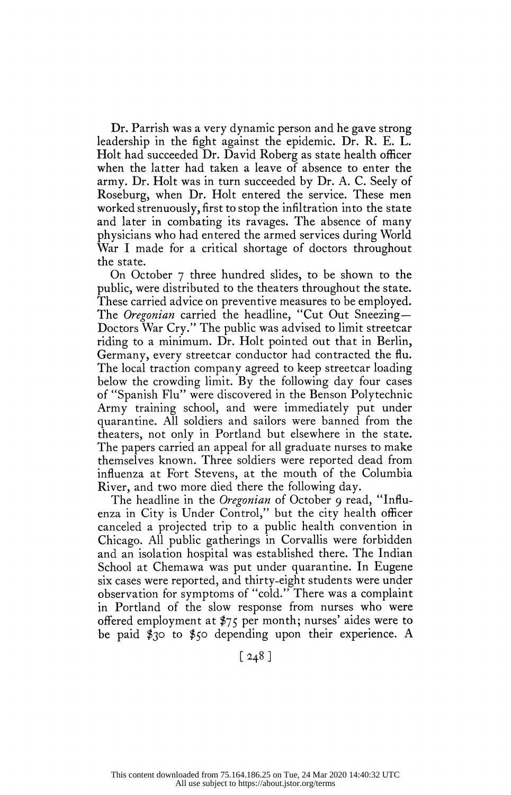Dr. Parrish was a very dynamic person and he gave strong leadership in the fight against the epidemic. Dr. R. E. L. Holt had succeeded Dr. David Roberg as state health officer when the latter had taken a leave of absence to enter the army. Dr. Holt was in turn succeeded by Dr. A. C. Seely of Roseburg, when Dr. Holt entered the service. These men worked strenuously, first to stop the infiltration into the state and later in combating its ravages. The absence of many physicians who had entered the armed services during World War I made for a critical shortage of doctors throughout the state.

 On October 7 three hundred slides, to be shown to the public, were distributed to the theaters throughout the state. These carried advice on preventive measures to be employed. The Oregonian carried the headline, "Cut Out Sneezing- Doctors War Cry." The public was advised to limit streetcar riding to a minimum. Dr. Holt pointed out that in Berlin, Germany, every streetcar conductor had contracted the flu. The local traction company agreed to keep streetcar loading below the crowding limit. By the following day four cases of "Spanish Flu" were discovered in the Benson Polytechnic Army training school, and were immediately put under quarantine. All soldiers and sailors were banned from the theaters, not only in Portland but elsewhere in the state. The papers carried an appeal for all graduate nurses to make themselves known. Three soldiers were reported dead from influenza at Fort Stevens, at the mouth of the Columbia River, and two more died there the following day.

The headline in the Oregonian of October 9 read, "Influ enza in City is Under Control," but the city health officer canceled a projected trip to a public health convention in Chicago. All public gatherings in Corvallis were forbidden and an isolation hospital was established there. The Indian School at Chemawa was put under quarantine. In Eugene six cases were reported, and thirty-eight students were under observation for symptoms of "cold." There was a complaint in Portland of the slow response from nurses who were offered employment at \$75 per month; nurses' aides were to be paid \$30 to \$50 depending upon their experience. A

 $[248]$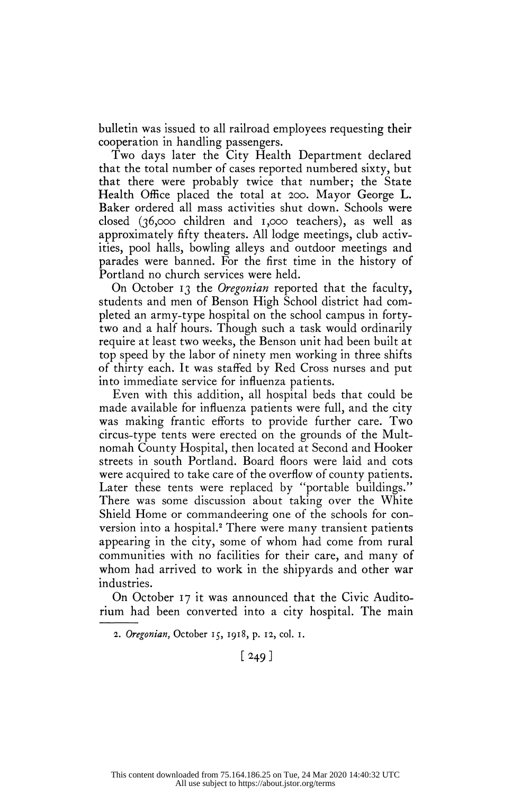bulletin was issued to all railroad employees requesting their cooperation in handling passengers.

 Two days later the City Health Department declared that the total number of cases reported numbered sixty, but that there were probably twice that number; the State Health Office placed the total at 200. Mayor George L. Baker ordered all mass activities shut down. Schools were closed (36,ooo children and I,000 teachers), as well as approximately fifty theaters. All lodge meetings, club activ ities, pool halls, bowling alleys and outdoor meetings and parades were banned. For the first time in the history of Portland no church services were held.

On October 13 the Oregonian reported that the faculty, students and men of Benson High School district had com pleted an army-type hospital on the school campus in forty two and a half hours. Though such a task would ordinarily require at least two weeks, the Benson unit had been built at top speed by the labor of ninety men working in three shifts of thirty each. It was staffed by Red Cross nurses and put into immediate service for influenza patients.

 Even with this addition, all hospital beds that could be made available for influenza patients were full, and the city was making frantic efforts to provide further care. Two circus-type tents were erected on the grounds of the Mult nomah County Hospital, then located at Second and Hooker streets in south Portland. Board floors were laid and cots were acquired to take care of the overflow of county patients. Later these tents were replaced by "portable buildings." There was some discussion about taking over the White Shield Home or commandeering one of the schools for con version into a hospital.<sup>2</sup> There were many transient patients appearing in the city, some of whom had come from rural communities with no facilities for their care, and many of whom had arrived to work in the shipyards and other war industries.

 On October I7 it was announced that the Civic Audito rium had been converted into a city hospital. The main

[ 249 ]

 <sup>2.</sup> Oregonian, October 15, 1918, p. 12, col. 1.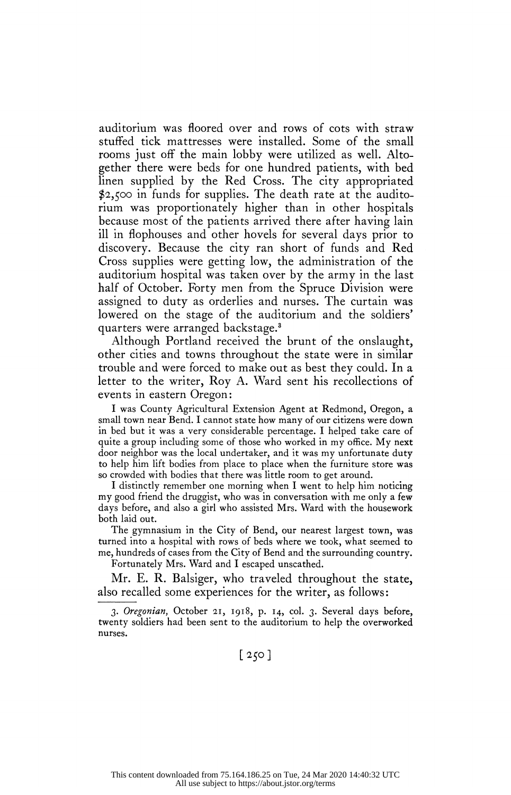auditorium was floored over and rows of cots with straw stuffed tick mattresses were installed. Some of the small rooms just off the main lobby were utilized as well. Alto gether there were beds for one hundred patients, with bed linen supplied by the Red Cross. The city appropriated \$2,500 in funds for supplies. The death rate at the audito rium was proportionately higher than in other hospitals because most of the patients arrived there after having lain ill in flophouses and other hovels for several days prior to discovery. Because the city ran short of funds and Red Cross supplies were getting low, the administration of the auditorium hospital was taken over by the army in the last half of October. Forty men from the Spruce Division were assigned to duty as orderlies and nurses. The curtain was lowered on the stage of the auditorium and the soldiers' quarters were arranged backstage.3

 Although Portland received the brunt of the onslaught, other cities and towns throughout the state were in similar trouble and were forced to make out as best they could. In a letter to the writer, Roy A. Ward sent his recollections of events in eastern Oregon:

 I was County Agricultural Extension Agent at Redmond, Oregon, a small town near Bend. I cannot state how many of our citizens were down in bed but it was a very considerable percentage. I helped take care of quite a group including some of those who worked in my office. My next door neighbor was the local undertaker, and it was my unfortunate duty to help him lift bodies from place to place when the furniture store was so crowded with bodies that there was little room to get around.

 I distinctly remember one morning when I went to help him noticing my good friend the druggist, who was in conversation with me only a few days before, and also a girl who assisted Mrs. Ward with the housework both laid out.

 The gymnasium in the City of Bend, our nearest largest town, was turned into a hospital with rows of beds where we took, what seemed to me, hundreds of cases from the City of Bend and the surrounding country.

Fortunately Mrs. Ward and I escaped unscathed.

 Mr. E. R. Balsiger, who traveled throughout the state, also recalled some experiences for the writer, as follows:

 3- Oregonian, October 21, 1918, p. 14, col. 3. Several days before, twenty soldiers had been sent to the auditorium to help the overworked nurses.

[ 250 ]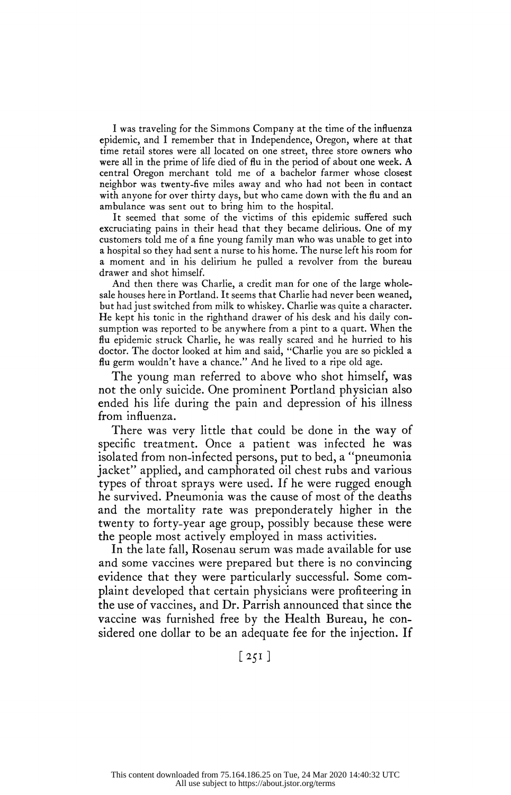I was traveling for the Simmons Company at the time of the influenza epidemic, and I remember that in Independence, Oregon, where at that time retail stores were all located on one street, three store owners who were all in the prime of life died of flu in the period of about one week. A central Oregon merchant told me of a bachelor farmer whose closest neighbor was twenty-five miles away and who had not been in contact with anyone for over thirty days, but who came down with the flu and an ambulance was sent out to bring him to the hospital.

 It seemed that some of the victims of this epidemic suffered such excruciating pains in their head that they became delirious. One of my customers told me of a fine young family man who was unable to get into a hospital so they had sent a nurse to his home. The nurse left his room for a moment and in his delirium he pulled a revolver from the bureau drawer and shot himself.

 And then there was Charlie, a credit man for one of the large whole sale houses here in Portland. It seems that Charlie had never been weaned, but had just switched from milk to whiskey. Charlie was quite a character. He kept his tonic in the righthand drawer of his desk and his daily con sumption was reported to be anywhere from a pint to a quart. When the flu epidemic struck Charlie, he was really scared and he hurried to his doctor. The doctor looked at him and said, "Charlie you are so pickled a flu germ wouldn't have a chance." And he lived to a ripe old age.

 The young man referred to above who shot himself, was not the only suicide. One prominent Portland physician also ended his life during the pain and depression of his illness from influenza.

 There was very little that could be done in the way of specific treatment. Once a patient was infected he was isolated from non-infected persons, put to bed, a "pneumonia jacket" applied, and camphorated oil chest rubs and various types of throat sprays were used. If he were rugged enough he survived. Pneumonia was the cause of most of the deaths and the mortality rate was preponderately higher in the twenty to forty-year age group, possibly because these were the people most actively employed in mass activities.

 In the late fall, Rosenau serum was made available for use and some vaccines were prepared but there is no convincing evidence that they were particularly successful. Some com plaint developed that certain physicians were profiteering in the use of vaccines, and Dr. Parrish announced that since the vaccine was furnished free by the Health Bureau, he con sidered one dollar to be an adequate fee for the injection. If

 $[251]$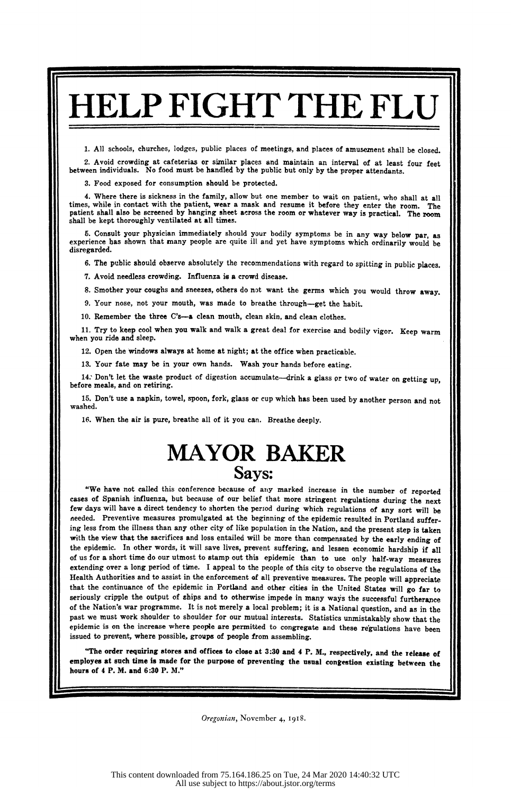## HELP FIGHT THE FLU

1. All schools, churches, lodges, public places of meetings, and places of amusement shall be closed.<br>2. Avoid crowding at cafeterias or similar places and maintain an interval of at least four feet 2. Avoid crowding at cafeterias or sizmilar places and maintain an interval of at least four feet between individuals. No food must be handled by the public but only by the proper attendants.

3. Food exposed for consumption should be protected.<br>4. Where there is sickness in the family, allow but one member to wait on patient, who shall at all times, while in contact with the patient, wear a mask and resume it before they enter the room. The times, while in contact with the patient, wear a mask and resume it before they enter the room. The<br>patient shall also be screened by hanging sheet across the room or whatever way is practical. The room

shall be kept thoroughly ventilated at all times.<br>5. Consult your physician immediately should your bodily symptoms be in any way below par, as 5. Consult your physician immediately should your bodily symptoms be in any way below par, as experience has shown that many people are quite ill and yet have symptoms which ordinarily would be disregarded.

6. The public should observe absolutely the recommendations with regard to spitting in public places.

7. Avoid needless crowding. Influenza is a crowd disease.

8. Smother your coughs and sneezes, others do not want the germs which you would throw away.

9. Your nose, not your mouth, was made to breathe through-get the habit.

10. Remember the three C's-a clean mouth, clean skin, and clean clothes.

 11. Try to keep cool when you walk and walk a great deal for exercise and bodily vigor. Keep warm when you ride and sleep.

12. Open the windows always at home at night; at the office when practicable.

13. Your fate may be in your own hands. Wash your hands before eating.

14. Don't let the waste product of digestion accumulate-drink a glass or two of water on getting up, before meals, and on retiring.

 15. Don't use a napkin, towel, spoon, fork, glass or cup which has been used by another person and not washed.

16. When the air is pure, breathe all of it you can. Breathe deeply.

## MAYOR BAKER Says:

 "We have not called this conference because of aniy marked increase in the number of reported cases of Spanish influenza, but because of our belief that more stringent regulations during the next few days will have a direct tendency to shorten the period during which regulations of any sort will be needed. Preventive measures promulgated at the beginning of the epidemic resulted in Portland suffer ing less from the illness than any other city of like population in the Nation, and the present step is taken with the view that the sacrifices and loss entailed will be more than compensated by the early ending of the epidemic. In other words, it will save lives, prevent suffering, and lessen economic hardship if all of us for a short time do our utmost to stamp out this epidemic than to use only half-way measures extending over a long period of time. I appeal to the people of this city to observe the regulations of the Health Authorities and to assist in the enforcement of all preventive measures. The people will appreciate that the continuance of the epidemic in Portland and other cities in the United States will go far to seriously cripple the output of ships and to otherwise impede in many ways the successful furtherapce of the Nation's war programme. It is not merely a local problem; it is a National question, and as in the past we must work shoulder to shoulder for our mutual interests. Statistics unmistakably show that the epidemic is on the increase where people are permitted to congregate and these regulations have been issued to prevent, where possible, groups of people from assembling.

 "The order requiring stores and offices to close at 3:30 and 4 P. M., respectively, and the release of employes at such time is made for the purpose of preventing the usual congestion existing between the hours of 4 P. M. and 6:30 P. M."

Oregonian, November 4, I918.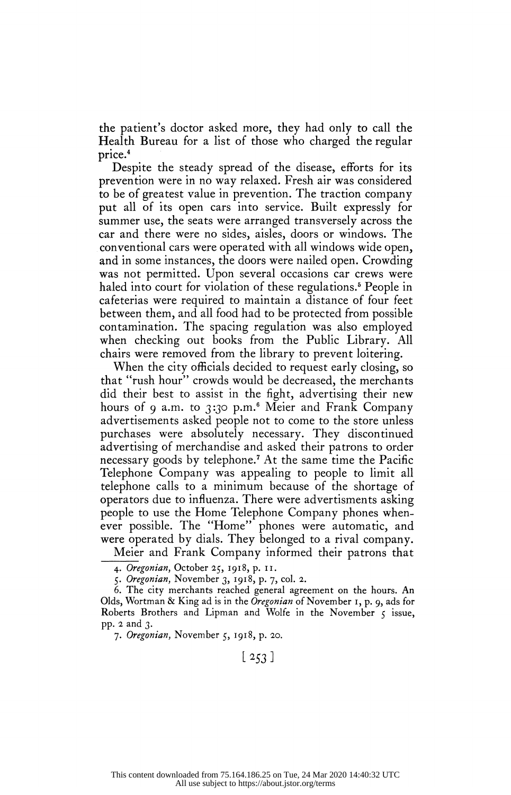the patient's doctor asked more, they had only to call the Health Bureau for a list of those who charged the regular price.4

 Despite the steady spread of the disease, efforts for its prevention were in no way relaxed. Fresh air was considered to be of greatest value in prevention. The traction company put all of its open cars into service. Built expressly for summer use, the seats were arranged transversely across the car and there were no sides, aisles, doors or windows. The conventional cars were operated with all windows wide open, and in some instances, the doors were nailed open. Crowding was not permitted. Upon several occasions car crews were haled into court for violation of these regulations.<sup>5</sup> People in cafeterias were required to maintain a distance of four feet between them, and all food had to be protected from possible contamination. The spacing regulation was also employed when checking out books from the Public Library. All chairs were removed from the library to prevent loitering.

When the city officials decided to request early closing, so that "rush hour" crowds would be decreased, the merchants did their best to assist in the fight, advertising their new hours of g a.m. to 3:30 p.m.6 Meier and Frank Company advertisements asked people not to come to the store unless purchases were absolutely necessary. They discontinued advertising of merchandise and asked their patrons to order necessary goods by telephone.7 At the same time the Pacific Telephone Company was appealing to people to limit all telephone calls to a minimum because of the shortage of operators due to influenza. There were advertisments asking people to use the Home Telephone Company phones when ever possible. The "Home" phones were automatic, and were operated by dials. They belonged to a rival company. Meier and Frank Company informed their patrons that

 $4. \, \text{O}$  organizan, october 25, 1918, p. 5. Oregonian, November 3, 1918, p. 7, col. 2.

6. The city merchants reached general agreement on the hours. An Olds, Wortman & King ad is in the Oregonian of November 1, p. 9, ads for  $\sum_{i=1}^{n}$  of  $\sum_{i=1}^{n}$  and  $\sum_{i=1}^{n}$  is in the Oregonian of November 1, p. 9, ads for  $\sum_{i=1}^{n}$ Roberts Brothers and Lipman and Wolfe in the November 5 pp. 2 and 3.

7. Oregonian, November 5, 1918, p. 20.

 $[253]$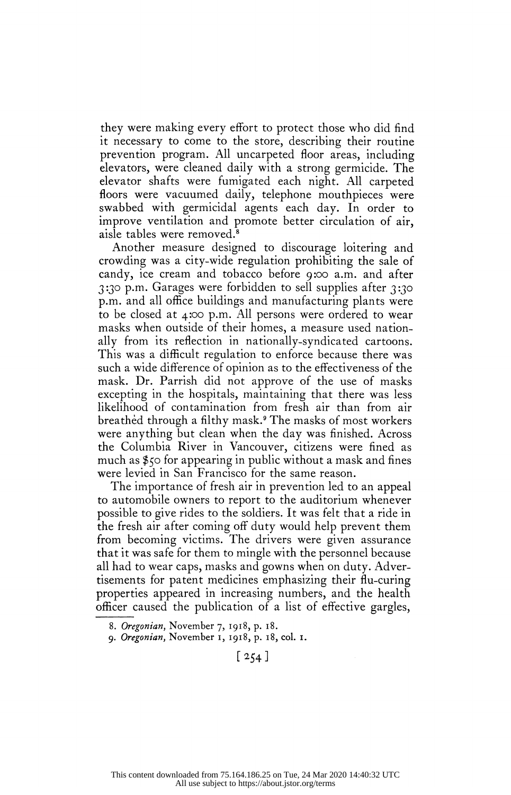they were making every effort to protect those who did find it necessary to come to the store, describing their routine prevention program. All uncarpeted floor areas, including elevators, were cleaned daily with a strong germicide. The elevator shafts were fumigated each night. All carpeted floors were vacuumed daily, telephone mouthpieces were swabbed with germicidal agents each day. In order to improve ventilation and promote better circulation of air, aisle tables were removed.<sup>8</sup>

 Another measure designed to discourage loitering and crowding was a city-wide regulation prohibiting the sale of candy, ice cream and tobacco before 9:oo a.m. and after 3:30 p.m. Garages were forbidden to sell supplies after 3:30 p.m. and all office buildings and manufacturing plants were to be closed at 4:00 p.m. All persons were ordered to wear masks when outside of their homes, a measure used nation ally from its reflection in nationally-syndicated cartoons. This was a difficult regulation to enforce because there was such a wide difference of opinion as to the effectiveness of the mask. Dr. Parrish did not approve of the use of masks excepting in the hospitals, maintaining that there was less likelihood of contamination from fresh air than from air breathed through a filthy mask.<sup>9</sup> The masks of most workers were anything but clean when the day was finished. Across the Columbia River in Vancouver, citizens were fined as much as \$5o for appearing in public without a mask and fines were levied in San Francisco for the same reason.

 The importance of fresh air in prevention led to an appeal to automobile owners to report to the auditorium whenever possible to give rides to the soldiers. It was felt that a ride in the fresh air after coming off duty would help prevent them from becoming victims. The drivers were given assurance that it was safe for them to mingle with the personnel because all had to wear caps, masks and gowns when on duty. Adver tisements for patent medicines emphasizing their flu-curing properties appeared in increasing numbers, and the health officer caused the publication of a list of effective gargles,

 $\lceil 254 \rceil$ 

 $8.$  Oregonian, November 7, 1918, p. 18.

 <sup>9.</sup> Oregonian, November 1, 1918, p. 18, col. 1.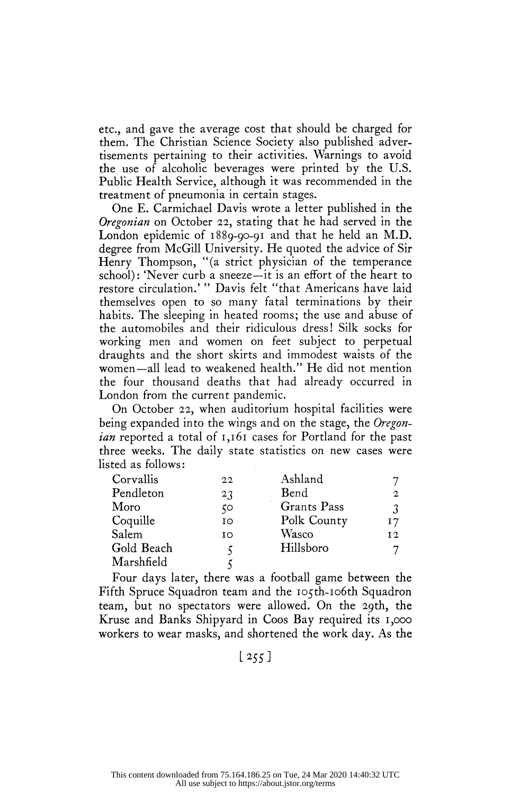etc., and gave the average cost that should be charged for them. The Christian Science Society also published adver tisements pertaining to their activities. Warnings to avoid the use of alcoholic beverages were printed by the U.S. Public Health Service, although it was recommended in the treatment of pneumonia in certain stages.

 One E. Carmichael Davis wrote a letter published in the Oregonian on October 22, stating that he had served in the London epidemic of I889-90-9I and that he held an M.D. degree from McGill University. He quoted the advice of Sir Henry Thompson, "(a strict physician of the temperance school): 'Never curb a sneeze-it is an effort of the heart to restore circulation.' " Davis felt "that Americans have laid themselves open to so many fatal terminations by their habits. The sleeping in heated rooms; the use and abuse of the automobiles and their ridiculous dress! Silk socks for working men and women on feet subject to perpetual draughts and the short skirts and immodest waists of the women-all lead to weakened health." He did not mention the four thousand deaths that had already occurred in London from the current pandemic.

 On October 22, when auditorium hospital facilities were being expanded into the wings and on the stage, the *Oregon*ian reported a total of 1,161 cases for Portland for the past three weeks. The daily state statistics on new cases were listed as follows:

| Corvallis  | 22 | Ashland            |              |
|------------|----|--------------------|--------------|
| Pendleton  | 23 | Bend               | $\mathbf{2}$ |
| Moro       | 50 | <b>Grants</b> Pass | 3            |
| Coquille   | IΘ | Polk County        | 17           |
| Salem      | IΟ | Wasco              | 12           |
| Gold Beach |    | Hillsboro          |              |
| Marshfield |    |                    |              |
|            |    |                    |              |

 Four days later, there was a football game between the Fifth Spruce Squadron team and the 105th-106th Squadron team, but no spectators were allowed. On the 29th, the Kruse and Banks Shipyard in Coos Bay required its I,OOO workers to wear masks, and shortened the work day. As the

[ 255 ]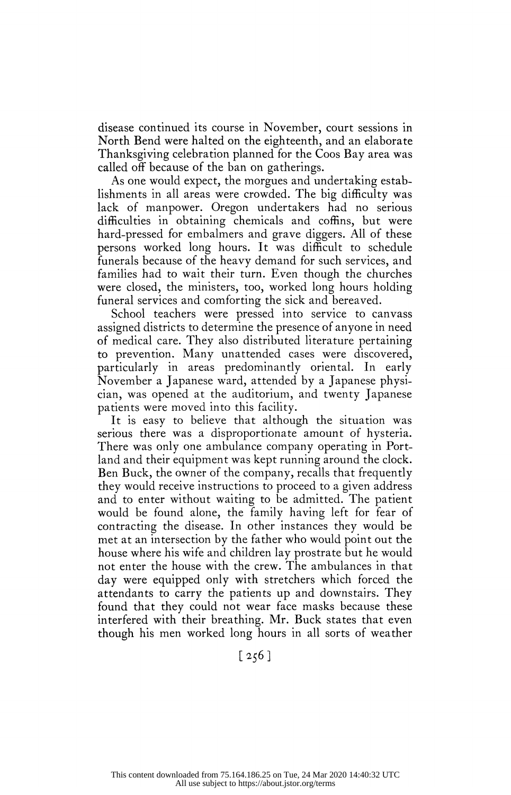disease continued its course in November, court sessions in North Bend were halted on the eighteenth, and an elaborate Thanksgiving celebration planned for the Coos Bay area was called off because of the ban on gatherings.

 As one would expect, the morgues and undertaking estab lishments in all areas were crowded. The big difficulty was lack of manpower. Oregon undertakers had no serious difficulties in obtaining chemicals and coffins, but were hard-pressed for embalmers and grave diggers. All of these persons worked long hours. It was difficult to schedule funerals because of the heavy demand for such services, and families had to wait their turn. Even though the churches were closed, the ministers, too, worked long hours holding funeral services and comforting the sick and bereaved.

 School teachers were pressed into service to canvass assigned districts to determine the presence of anyone in need of medical care. They also distributed literature pertaining to prevention. Many unattended cases were discovered, particularly in areas predominantly oriental. In early November a Japanese ward, attended by a Japanese physi cian, was opened at the auditorium, and twenty Japanese patients were moved into this facility.

 It is easy to believe that although the situation was serious there was a disproportionate amount of hysteria. There was only one ambulance company operating in Port land and their equipment was kept running around the clock. Ben Buck, the owner of the company, recalls that frequently they would receive instructions to proceed to a given address and to enter without waiting to be admitted. The patient would be found alone, the family having left for fear of contracting the disease. In other instances they would be met at an intersection by the father who would point out the house where his wife and children lay prostrate but he would not enter the house with the crew. The ambulances in that day were equipped only with stretchers which forced the attendants to carry the patients up and downstairs. They found that they could not wear face masks because these interfered with their breathing. Mr. Buck states that even though his men worked long hours in all sorts of weather

[ 256 ]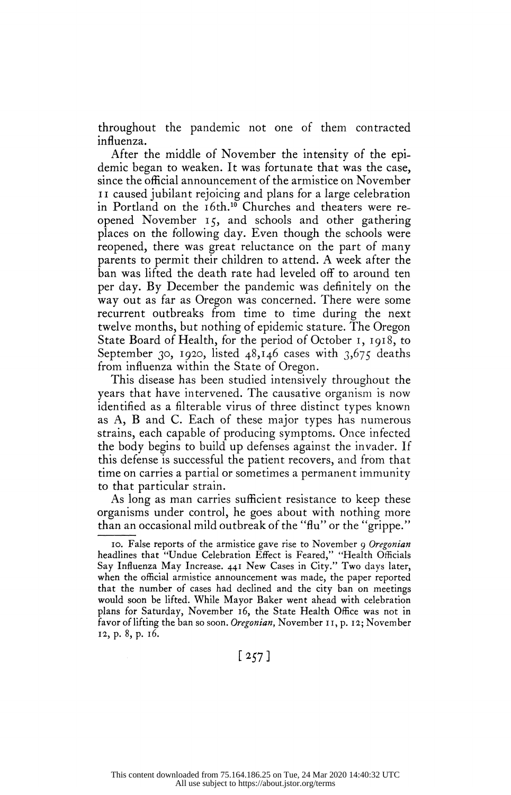throughout the pandemic not one of them contracted influenza.

 After the middle of November the intensity of the epi demic began to weaken. It was fortunate that was the case, since the official announcement of the armistice on November II caused jubilant rejoicing and plans for a large celebration in Portland on the 16th.<sup>10</sup> Churches and theaters were re opened November i5, and schools and other gathering places on the following day. Even though the schools were reopened, there was great reluctance on the part of many parents to permit their children to attend. A week after the ban was lifted the death rate had leveled off to around ten per day. By December the pandemic was definitely on the way out as far as Oregon was concerned. There were some recurrent outbreaks from time to time during the next twelve months, but nothing of epidemic stature. The Oregon State Board of Health, for the period of October I, I9I8, to September 30, 1920, listed  $48,146$  cases with  $3,675$  deaths from influenza within the State of Oregon.

 This disease has been studied intensively throughout the years that have intervened. The causative organism is now identified as a filterable virus of three distinct types known as A, B and C. Each of these major types has numerous strains, each capable of producing symptoms. Once infected the body begins to build up defenses against the invader. If this defense is successful the patient recovers, and from that time on carries a partial or sometimes a permanent immunity to that particular strain.

 As long as man carries sufficient resistance to keep these organisms under control, he goes about with nothing more than an occasional mild outbreak of the "flu" or the "grippe."

[ 257 ]

IO. False reports of the armistice gave rise to November 9 Oregonian<br>headlines that "Undue Celebration Effect is Feared," "Health Officials headlines that "Undue Celebration Effect is Feared," "Health Officials Say Influenza May Increase. 441 New Cases in City. Two days i when the official armistice announcement was made, the paper reported that the number of cases had declined and the city ban on meetings would soon be lifted. While Mayor Baker went ahead with celebration plans for Saturday, November 16, the State Health Office was not in plans for Saturday, November 16, the State Health Office was no  $f(x) = \frac{1}{2}$ 12, p. 8, p. 16.